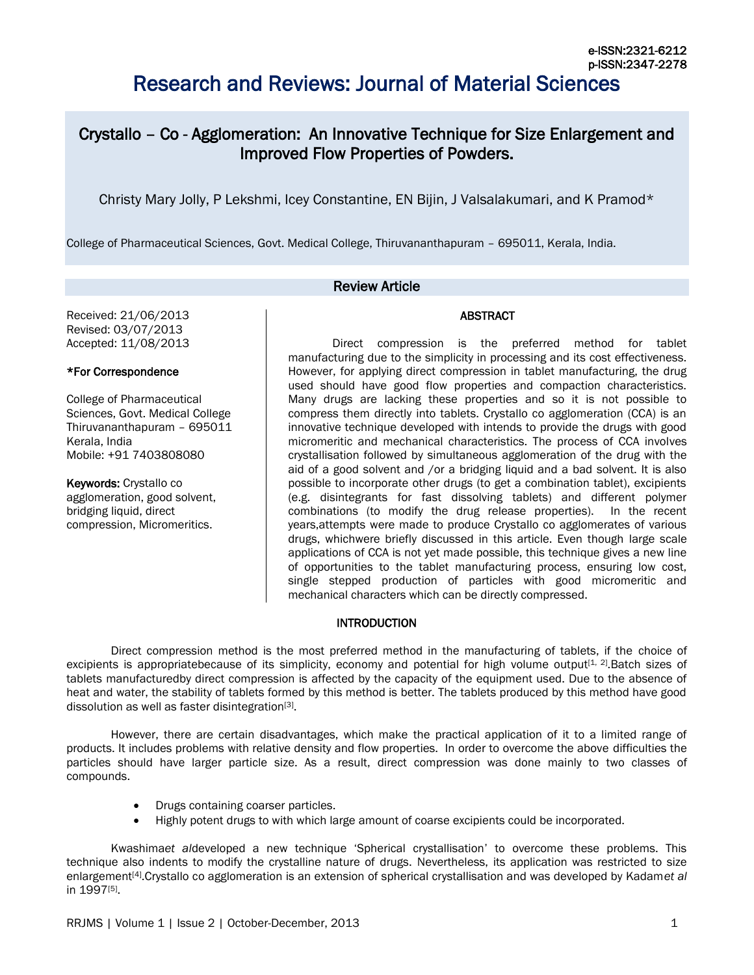# Research and Reviews: Journal of Material Sciences

## Crystallo – Co - Agglomeration: An Innovative Technique for Size Enlargement and Improved Flow Properties of Powders.

Christy Mary Jolly, P Lekshmi, Icey Constantine, EN Bijin, J Valsalakumari, and K Pramod\*

College of Pharmaceutical Sciences, Govt. Medical College, Thiruvananthapuram – 695011, Kerala, India.

## Review Article

Received: 21/06/2013 Revised: 03/07/2013 Accepted: 11/08/2013

## \*For Correspondence

College of Pharmaceutical Sciences, Govt. Medical College Thiruvananthapuram – 695011 Kerala, India Mobile: +91 7403808080

Keywords: Crystallo co agglomeration, good solvent, bridging liquid, direct compression, Micromeritics.

Direct compression is the preferred method for tablet manufacturing due to the simplicity in processing and its cost effectiveness. However, for applying direct compression in tablet manufacturing, the drug used should have good flow properties and compaction characteristics. Many drugs are lacking these properties and so it is not possible to compress them directly into tablets. Crystallo co agglomeration (CCA) is an innovative technique developed with intends to provide the drugs with good micromeritic and mechanical characteristics. The process of CCA involves crystallisation followed by simultaneous agglomeration of the drug with the aid of a good solvent and /or a bridging liquid and a bad solvent. It is also possible to incorporate other drugs (to get a combination tablet), excipients (e.g. disintegrants for fast dissolving tablets) and different polymer combinations (to modify the drug release properties). In the recent years,attempts were made to produce Crystallo co agglomerates of various drugs, whichwere briefly discussed in this article. Even though large scale applications of CCA is not yet made possible, this technique gives a new line of opportunities to the tablet manufacturing process, ensuring low cost, single stepped production of particles with good micromeritic and mechanical characters which can be directly compressed.

## **INTRODUCTION**

Direct compression method is the most preferred method in the manufacturing of tablets, if the choice of excipients is appropriatebecause of its simplicity, economy and potential for high volume output<sup>[1, 2]</sup>. Batch sizes of tablets manufacturedby direct compression is affected by the capacity of the equipment used. Due to the absence of heat and water, the stability of tablets formed by this method is better. The tablets produced by this method have good dissolution as well as faster disintegration<sup>[3]</sup>.

However, there are certain disadvantages, which make the practical application of it to a limited range of products. It includes problems with relative density and flow properties. In order to overcome the above difficulties the particles should have larger particle size. As a result, direct compression was done mainly to two classes of compounds.

- Drugs containing coarser particles.
- Highly potent drugs to with which large amount of coarse excipients could be incorporated.

Kwashima*et al*developed a new technique 'Spherical crystallisation' to overcome these problems. This technique also indents to modify the crystalline nature of drugs. Nevertheless, its application was restricted to size enlargement[4] .Crystallo co agglomeration is an extension of spherical crystallisation and was developed by Kadam*et al* in 1997[5].

## ABSTRACT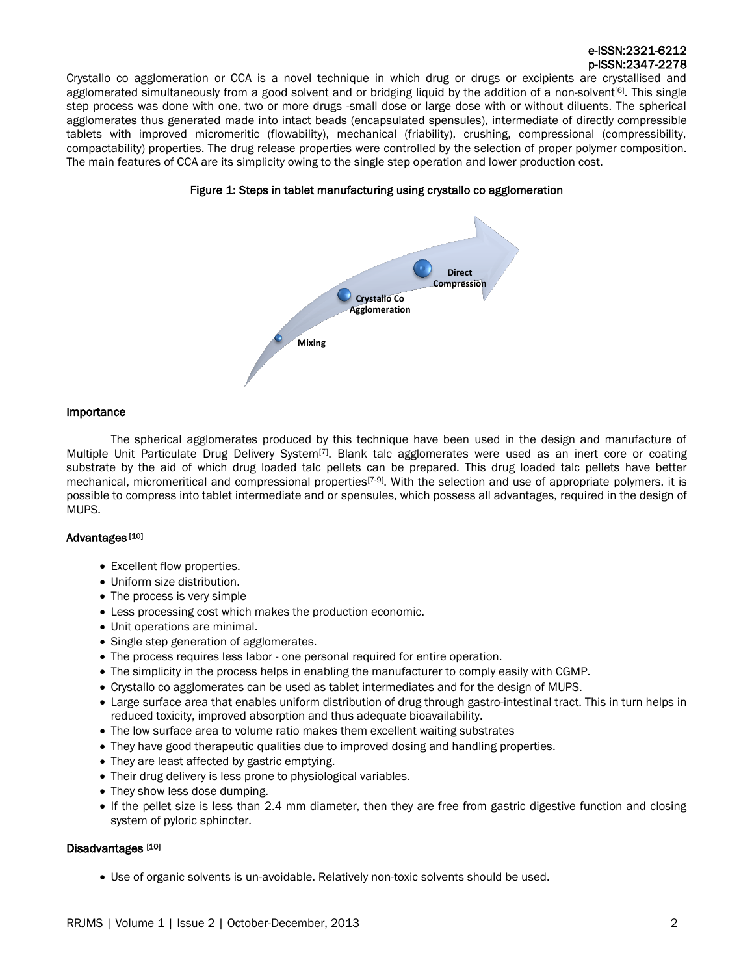Crystallo co agglomeration or CCA is a novel technique in which drug or drugs or excipients are crystallised and agglomerated simultaneously from a good solvent and or bridging liquid by the addition of a non-solvent<sup>[6]</sup>. This single step process was done with one, two or more drugs -small dose or large dose with or without diluents. The spherical agglomerates thus generated made into intact beads (encapsulated spensules), intermediate of directly compressible tablets with improved micromeritic (flowability), mechanical (friability), crushing, compressional (compressibility, compactability) properties. The drug release properties were controlled by the selection of proper polymer composition. The main features of CCA are its simplicity owing to the single step operation and lower production cost.



## Figure 1: Steps in tablet manufacturing using crystallo co agglomeration

## Importance

The spherical agglomerates produced by this technique have been used in the design and manufacture of Multiple Unit Particulate Drug Delivery System<sup>[7]</sup>. Blank talc agglomerates were used as an inert core or coating substrate by the aid of which drug loaded talc pellets can be prepared. This drug loaded talc pellets have better mechanical, micromeritical and compressional properties<sup>[7-9]</sup>. With the selection and use of appropriate polymers, it is possible to compress into tablet intermediate and or spensules, which possess all advantages, required in the design of MUPS.

## Advantages [10]

- Excellent flow properties.
- Uniform size distribution.
- The process is very simple
- Less processing cost which makes the production economic.
- Unit operations are minimal.
- Single step generation of agglomerates.
- The process requires less labor one personal required for entire operation.
- The simplicity in the process helps in enabling the manufacturer to comply easily with CGMP.
- Crystallo co agglomerates can be used as tablet intermediates and for the design of MUPS.
- Large surface area that enables uniform distribution of drug through gastro-intestinal tract. This in turn helps in reduced toxicity, improved absorption and thus adequate bioavailability.
- The low surface area to volume ratio makes them excellent waiting substrates
- They have good therapeutic qualities due to improved dosing and handling properties.
- They are least affected by gastric emptying.
- Their drug delivery is less prone to physiological variables.
- They show less dose dumping.
- If the pellet size is less than 2.4 mm diameter, then they are free from gastric digestive function and closing system of pyloric sphincter.

## Disadvantages [10]

Use of organic solvents is un-avoidable. Relatively non-toxic solvents should be used.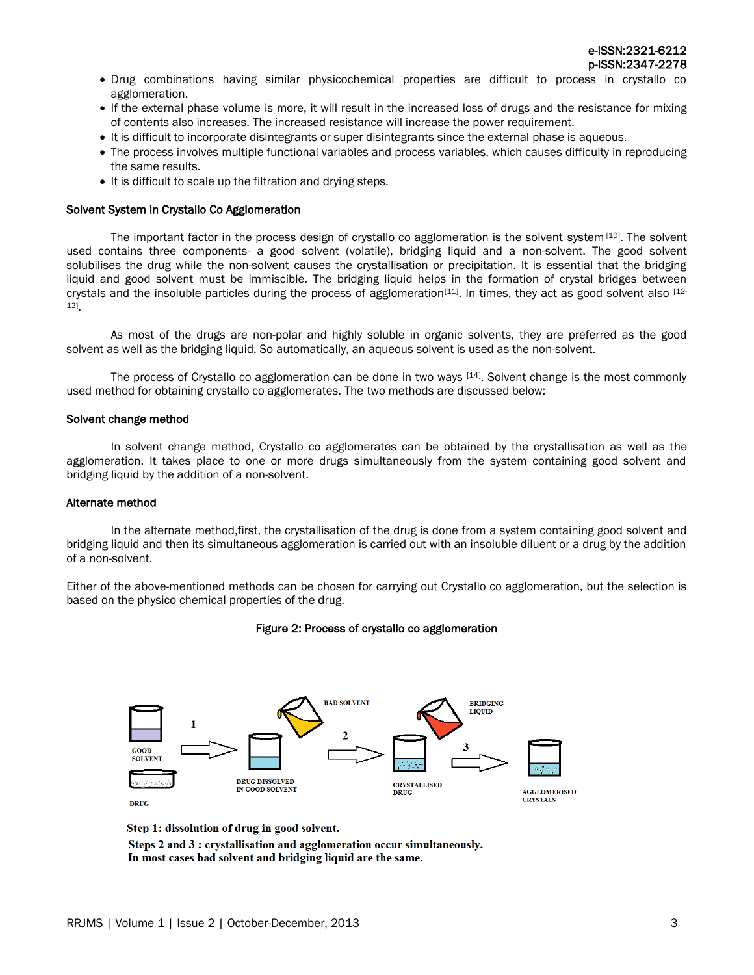Drug combinations having similar physicochemical properties are difficult to process in crystallo co agglomeration.

- If the external phase volume is more, it will result in the increased loss of drugs and the resistance for mixing of contents also increases. The increased resistance will increase the power requirement.
- It is difficult to incorporate disintegrants or super disintegrants since the external phase is aqueous.
- The process involves multiple functional variables and process variables, which causes difficulty in reproducing the same results.
- It is difficult to scale up the filtration and drying steps.

## Solvent System in Crystallo Co Agglomeration

The important factor in the process design of crystallo co agglomeration is the solvent system [10]. The solvent used contains three components- a good solvent (volatile), bridging liquid and a non-solvent. The good solvent solubilises the drug while the non-solvent causes the crystallisation or precipitation. It is essential that the bridging liquid and good solvent must be immiscible. The bridging liquid helps in the formation of crystal bridges between crystals and the insoluble particles during the process of agglomeration<sup>[11]</sup>. In times, they act as good solvent also  $^{122}$ 13] .

As most of the drugs are non-polar and highly soluble in organic solvents, they are preferred as the good solvent as well as the bridging liquid. So automatically, an aqueous solvent is used as the non-solvent.

The process of Crystallo co agglomeration can be done in two ways [14]. Solvent change is the most commonly used method for obtaining crystallo co agglomerates. The two methods are discussed below:

## Solvent change method

In solvent change method, Crystallo co agglomerates can be obtained by the crystallisation as well as the agglomeration. It takes place to one or more drugs simultaneously from the system containing good solvent and bridging liquid by the addition of a non-solvent.

## Alternate method

In the alternate method,first, the crystallisation of the drug is done from a system containing good solvent and bridging liquid and then its simultaneous agglomeration is carried out with an insoluble diluent or a drug by the addition of a non-solvent.

Either of the above-mentioned methods can be chosen for carrying out Crystallo co agglomeration, but the selection is based on the physico chemical properties of the drug.

## Figure 2: Process of crystallo co agglomeration



Step 1: dissolution of drug in good solvent.

Steps 2 and 3 : crystallisation and agglomeration occur simultaneously. In most cases bad solvent and bridging liquid are the same.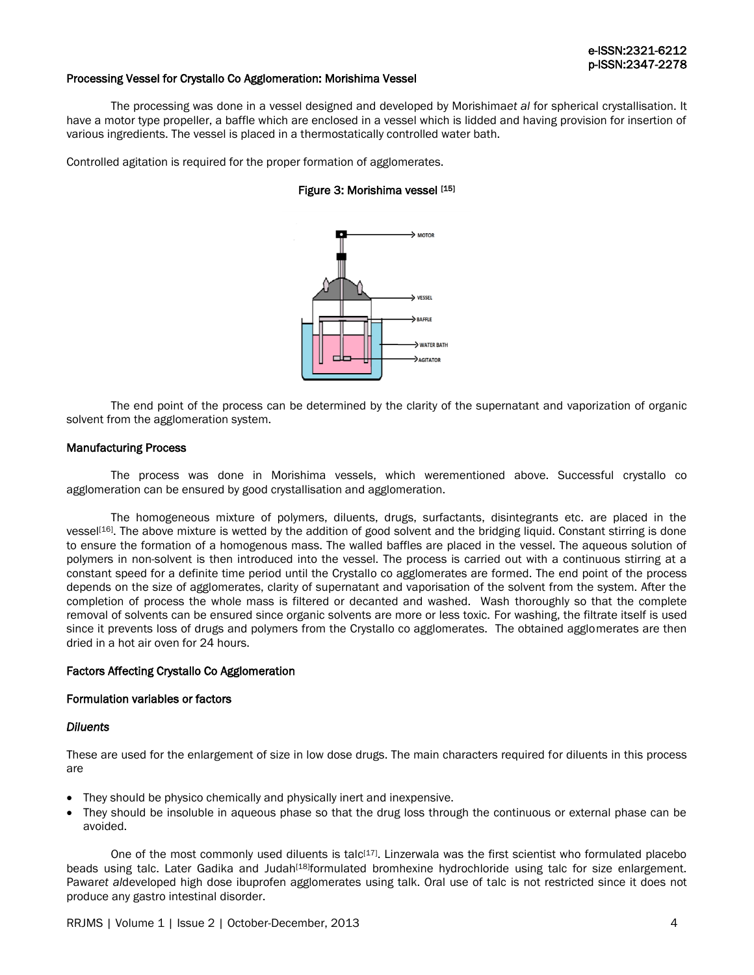## Processing Vessel for Crystallo Co Agglomeration: Morishima Vessel

The processing was done in a vessel designed and developed by Morishima*et al* for spherical crystallisation. It have a motor type propeller, a baffle which are enclosed in a vessel which is lidded and having provision for insertion of various ingredients. The vessel is placed in a thermostatically controlled water bath.

Controlled agitation is required for the proper formation of agglomerates.

## Figure 3: Morishima vessel [15]



The end point of the process can be determined by the clarity of the supernatant and vaporization of organic solvent from the agglomeration system.

#### Manufacturing Process

The process was done in Morishima vessels, which werementioned above. Successful crystallo co agglomeration can be ensured by good crystallisation and agglomeration.

The homogeneous mixture of polymers, diluents, drugs, surfactants, disintegrants etc. are placed in the vessel<sup>[16]</sup>. The above mixture is wetted by the addition of good solvent and the bridging liquid. Constant stirring is done to ensure the formation of a homogenous mass. The walled baffles are placed in the vessel. The aqueous solution of polymers in non-solvent is then introduced into the vessel. The process is carried out with a continuous stirring at a constant speed for a definite time period until the Crystallo co agglomerates are formed. The end point of the process depends on the size of agglomerates, clarity of supernatant and vaporisation of the solvent from the system. After the completion of process the whole mass is filtered or decanted and washed. Wash thoroughly so that the complete removal of solvents can be ensured since organic solvents are more or less toxic. For washing, the filtrate itself is used since it prevents loss of drugs and polymers from the Crystallo co agglomerates. The obtained agglomerates are then dried in a hot air oven for 24 hours.

## Factors Affecting Crystallo Co Agglomeration

#### Formulation variables or factors

#### *Diluents*

These are used for the enlargement of size in low dose drugs. The main characters required for diluents in this process are

- They should be physico chemically and physically inert and inexpensive.
- They should be insoluble in aqueous phase so that the drug loss through the continuous or external phase can be avoided.

One of the most commonly used diluents is talc<sup>[17]</sup>. Linzerwala was the first scientist who formulated placebo beads using talc. Later Gadika and Judah<sup>[18]</sup>formulated bromhexine hydrochloride using talc for size enlargement. Pawar*et al*developed high dose ibuprofen agglomerates using talk. Oral use of talc is not restricted since it does not produce any gastro intestinal disorder.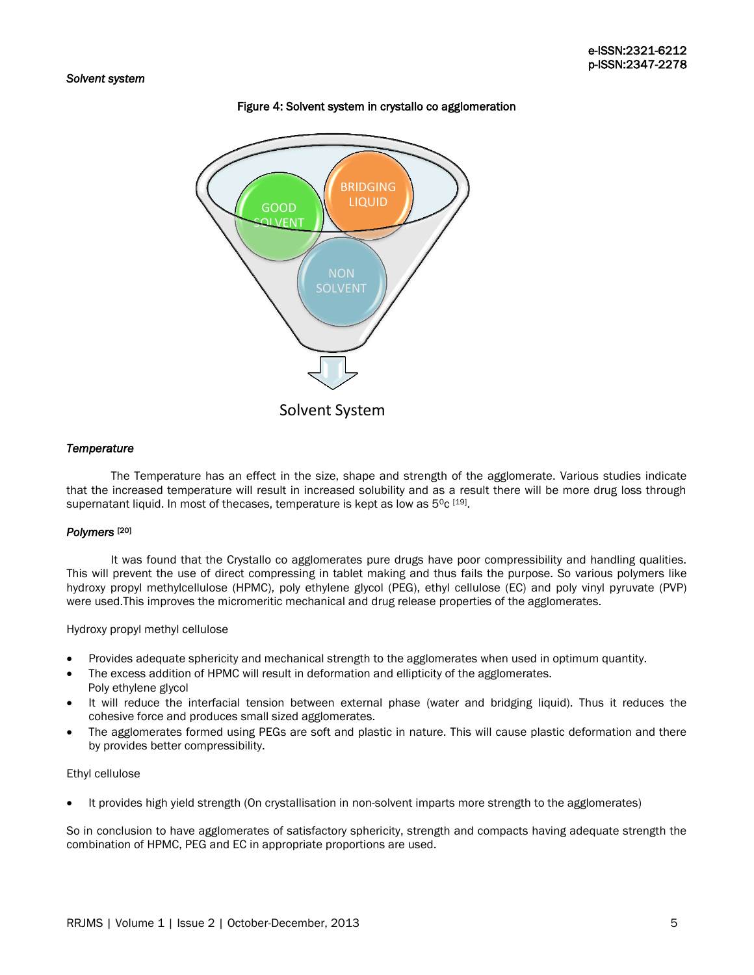## Figure 4: Solvent system in crystallo co agglomeration



## *Temperature*

The Temperature has an effect in the size, shape and strength of the agglomerate. Various studies indicate that the increased temperature will result in increased solubility and as a result there will be more drug loss through supernatant liquid. In most of thecases, temperature is kept as low as 5<sup>o</sup>c [19].

#### *Polymers* [20]

It was found that the Crystallo co agglomerates pure drugs have poor compressibility and handling qualities. This will prevent the use of direct compressing in tablet making and thus fails the purpose. So various polymers like hydroxy propyl methylcellulose (HPMC), poly ethylene glycol (PEG), ethyl cellulose (EC) and poly vinyl pyruvate (PVP) were used.This improves the micromeritic mechanical and drug release properties of the agglomerates.

## Hydroxy propyl methyl cellulose

- Provides adequate sphericity and mechanical strength to the agglomerates when used in optimum quantity.
- The excess addition of HPMC will result in deformation and ellipticity of the agglomerates. Poly ethylene glycol
- It will reduce the interfacial tension between external phase (water and bridging liquid). Thus it reduces the cohesive force and produces small sized agglomerates.
- The agglomerates formed using PEGs are soft and plastic in nature. This will cause plastic deformation and there by provides better compressibility.

#### Ethyl cellulose

It provides high yield strength (On crystallisation in non-solvent imparts more strength to the agglomerates)

So in conclusion to have agglomerates of satisfactory sphericity, strength and compacts having adequate strength the combination of HPMC, PEG and EC in appropriate proportions are used.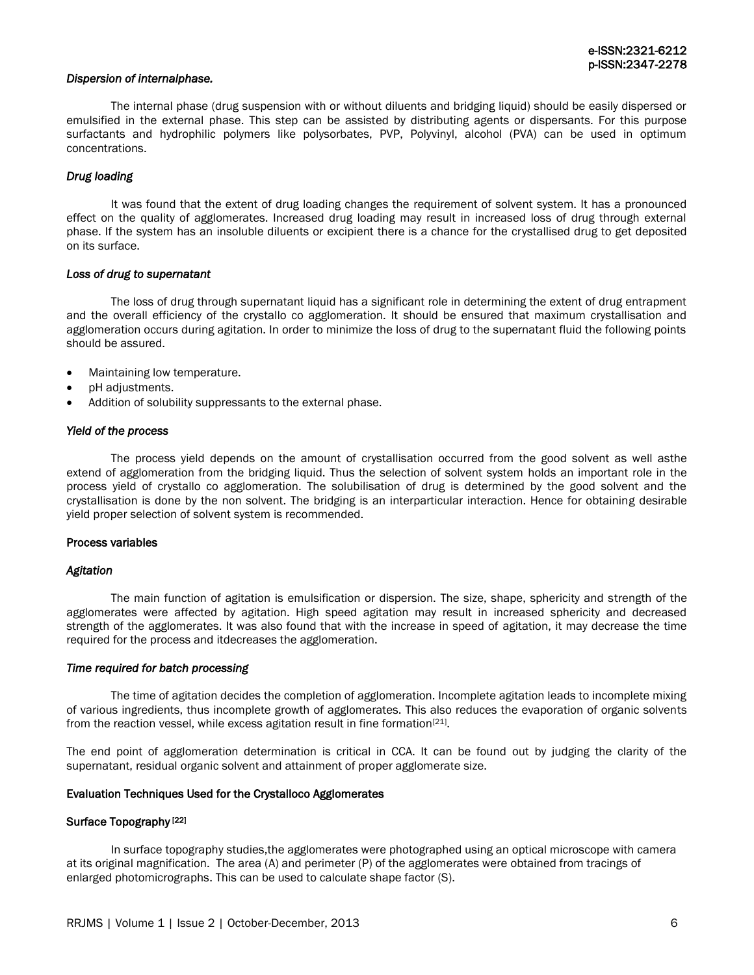## *Dispersion of internalphase.*

The internal phase (drug suspension with or without diluents and bridging liquid) should be easily dispersed or emulsified in the external phase. This step can be assisted by distributing agents or dispersants. For this purpose surfactants and hydrophilic polymers like polysorbates, PVP, Polyvinyl, alcohol (PVA) can be used in optimum concentrations.

## *Drug loading*

It was found that the extent of drug loading changes the requirement of solvent system. It has a pronounced effect on the quality of agglomerates. Increased drug loading may result in increased loss of drug through external phase. If the system has an insoluble diluents or excipient there is a chance for the crystallised drug to get deposited on its surface.

#### *Loss of drug to supernatant*

The loss of drug through supernatant liquid has a significant role in determining the extent of drug entrapment and the overall efficiency of the crystallo co agglomeration. It should be ensured that maximum crystallisation and agglomeration occurs during agitation. In order to minimize the loss of drug to the supernatant fluid the following points should be assured.

- Maintaining low temperature.
- pH adjustments.
- Addition of solubility suppressants to the external phase.

#### *Yield of the process*

The process yield depends on the amount of crystallisation occurred from the good solvent as well asthe extend of agglomeration from the bridging liquid. Thus the selection of solvent system holds an important role in the process yield of crystallo co agglomeration. The solubilisation of drug is determined by the good solvent and the crystallisation is done by the non solvent. The bridging is an interparticular interaction. Hence for obtaining desirable yield proper selection of solvent system is recommended.

#### Process variables

#### *Agitation*

The main function of agitation is emulsification or dispersion. The size, shape, sphericity and strength of the agglomerates were affected by agitation. High speed agitation may result in increased sphericity and decreased strength of the agglomerates. It was also found that with the increase in speed of agitation, it may decrease the time required for the process and itdecreases the agglomeration.

#### *Time required for batch processing*

The time of agitation decides the completion of agglomeration. Incomplete agitation leads to incomplete mixing of various ingredients, thus incomplete growth of agglomerates. This also reduces the evaporation of organic solvents from the reaction vessel, while excess agitation result in fine formation<sup>[21]</sup>.

The end point of agglomeration determination is critical in CCA. It can be found out by judging the clarity of the supernatant, residual organic solvent and attainment of proper agglomerate size.

## Evaluation Techniques Used for the Crystalloco Agglomerates

#### Surface Topography<sup>[22]</sup>

In surface topography studies,the agglomerates were photographed using an optical microscope with camera at its original magnification. The area (A) and perimeter (P) of the agglomerates were obtained from tracings of enlarged photomicrographs. This can be used to calculate shape factor (S).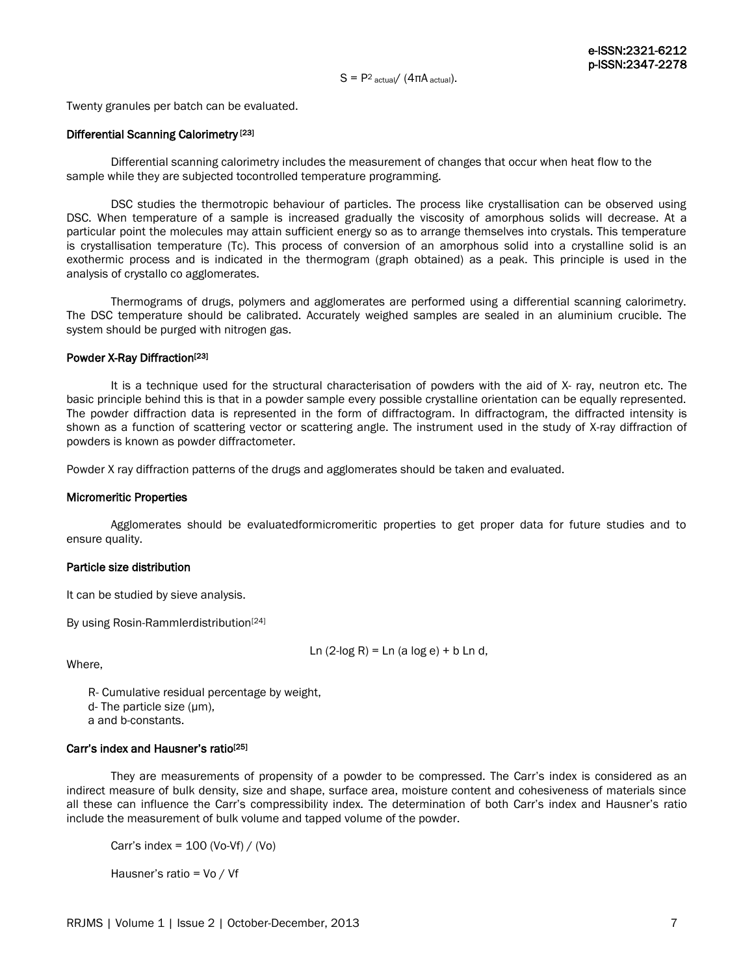$S = P^2$  actual/  $(4\pi A \text{ actual})$ .

Twenty granules per batch can be evaluated.

## Differential Scanning Calorimetry<sup>[23]</sup>

Differential scanning calorimetry includes the measurement of changes that occur when heat flow to the sample while they are subjected tocontrolled temperature programming.

DSC studies the thermotropic behaviour of particles. The process like crystallisation can be observed using DSC. When temperature of a sample is increased gradually the viscosity of amorphous solids will decrease. At a particular point the molecules may attain sufficient energy so as to arrange themselves into crystals. This temperature is crystallisation temperature (Tc). This process of conversion of an amorphous solid into a crystalline solid is an exothermic process and is indicated in the thermogram (graph obtained) as a peak. This principle is used in the analysis of crystallo co agglomerates.

Thermograms of drugs, polymers and agglomerates are performed using a differential scanning calorimetry. The DSC temperature should be calibrated. Accurately weighed samples are sealed in an aluminium crucible. The system should be purged with nitrogen gas.

## Powder X-Ray Diffraction<sup>[23]</sup>

It is a technique used for the structural characterisation of powders with the aid of X- ray, neutron etc. The basic principle behind this is that in a powder sample every possible crystalline orientation can be equally represented. The powder diffraction data is represented in the form of diffractogram. In diffractogram, the diffracted intensity is shown as a function of scattering vector or scattering angle. The instrument used in the study of X-ray diffraction of powders is known as powder diffractometer.

Powder X ray diffraction patterns of the drugs and agglomerates should be taken and evaluated.

## Micromeritic Properties

Agglomerates should be evaluatedformicromeritic properties to get proper data for future studies and to ensure quality.

## Particle size distribution

It can be studied by sieve analysis.

By using Rosin-Rammlerdistribution<sup>[24]</sup>

```
Ln (2-\log R) = \text{Ln} (\text{a log } e) + \text{b Ln } d,
```
Where,

 R- Cumulative residual percentage by weight, d- The particle size (µm),

a and b-constants.

## Carr's index and Hausner's ratio[25]

They are measurements of propensity of a powder to be compressed. The Carr's index is considered as an indirect measure of bulk density, size and shape, surface area, moisture content and cohesiveness of materials since all these can influence the Carr's compressibility index. The determination of both Carr's index and Hausner's ratio include the measurement of bulk volume and tapped volume of the powder.

Carr's index =  $100$  (Vo-Vf) / (Vo)

Hausner's ratio = Vo / Vf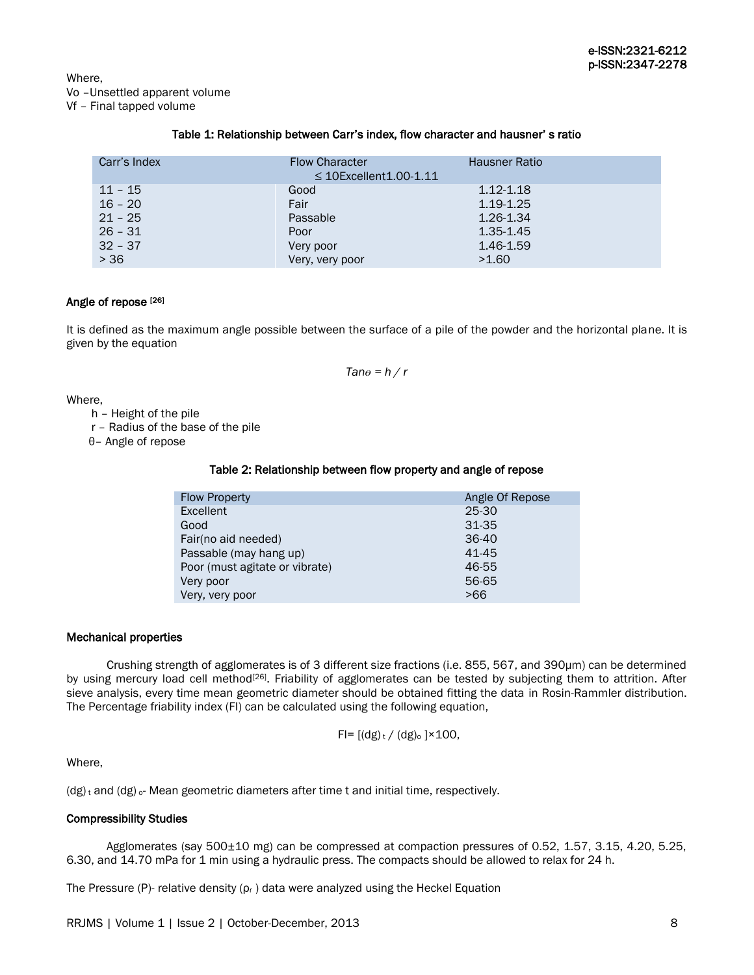Where, Vo –Unsettled apparent volume Vf – Final tapped volume

## Table 1: Relationship between Carr's index, flow character and hausner' s ratio

| Carr's Index | <b>Flow Character</b><br>$\leq$ 10Excellent 1.00-1.11 | <b>Hausner Ratio</b> |
|--------------|-------------------------------------------------------|----------------------|
| $11 - 15$    | Good                                                  | 1.12-1.18            |
| $16 - 20$    | Fair                                                  | 1.19-1.25            |
| $21 - 25$    | Passable                                              | 1.26-1.34            |
| $26 - 31$    | Poor                                                  | $1.35 - 1.45$        |
| $32 - 37$    | Very poor                                             | 1.46-1.59            |
| > 36         | Very, very poor                                       | >1.60                |

## Angle of repose [26]

It is defined as the maximum angle possible between the surface of a pile of the powder and the horizontal plane. It is given by the equation

 $Tane = h / r$ 

Where,

h – Height of the pile

r – Radius of the base of the pile

θ– Angle of repose

## Table 2: Relationship between flow property and angle of repose

| <b>Flow Property</b>           | Angle Of Repose |
|--------------------------------|-----------------|
| <b>Excellent</b>               | $25-30$         |
| Good                           | 31-35           |
| Fair(no aid needed)            | 36-40           |
| Passable (may hang up)         | 41-45           |
| Poor (must agitate or vibrate) | 46-55           |
| Very poor                      | 56-65           |
| Very, very poor                | >66             |

## Mechanical properties

 Crushing strength of agglomerates is of 3 different size fractions (i.e. 855, 567, and 390µm) can be determined by using mercury load cell method<sup>[26]</sup>. Friability of agglomerates can be tested by subjecting them to attrition. After sieve analysis, every time mean geometric diameter should be obtained fitting the data in Rosin-Rammler distribution. The Percentage friability index (FI) can be calculated using the following equation,

$$
Fl = [(dg)_t / (dg)_0] \times 100,
$$

Where,

 $(dg)_t$  and  $(dg)$  <sub>o</sub>-Mean geometric diameters after time t and initial time, respectively.

## Compressibility Studies

 Agglomerates (say 500±10 mg) can be compressed at compaction pressures of 0.52, 1.57, 3.15, 4.20, 5.25, 6.30, and 14.70 mPa for 1 min using a hydraulic press. The compacts should be allowed to relax for 24 h.

The Pressure (P)- relative density  $(\rho_r)$  data were analyzed using the Heckel Equation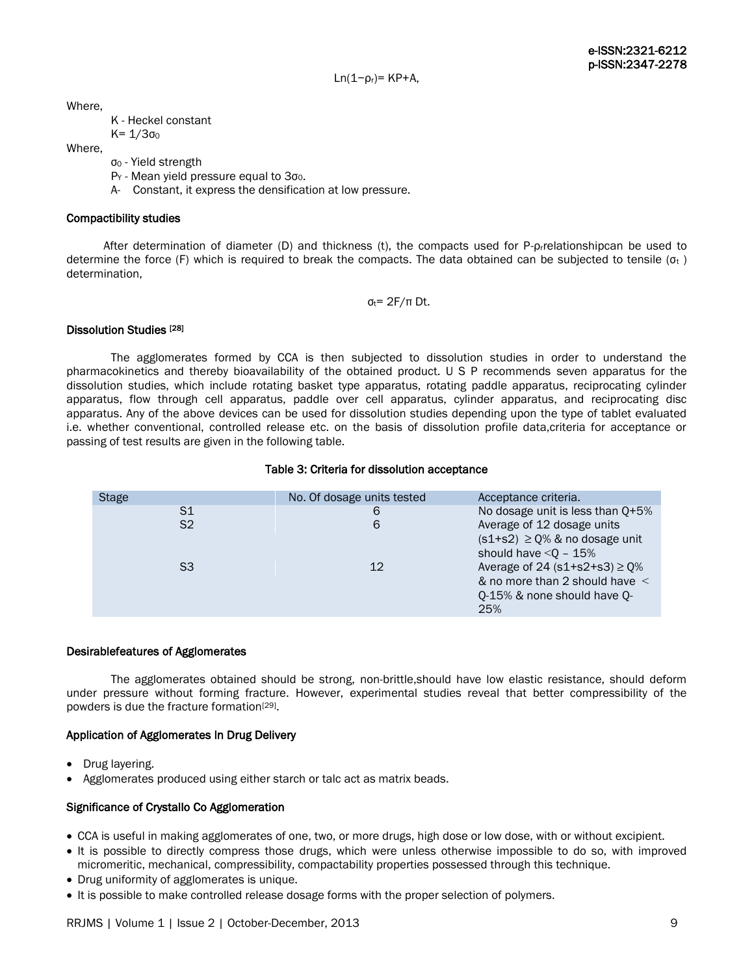Ln( $1-p<sub>r</sub>$ )= KP+A,

Where,

K - Heckel constant  $K = 1/3σ<sub>0</sub>$ 

Where,

- σ<sup>0</sup> Yield strength
- P<sub>Y</sub> Mean yield pressure equal to 3σο.
- A- Constant, it express the densification at low pressure.

## Compactibility studies

 After determination of diameter (D) and thickness (t), the compacts used for P-ρrrelationshipcan be used to determine the force (F) which is required to break the compacts. The data obtained can be subjected to tensile ( $\sigma_t$ ) determination,

 $σ_t = 2F/\pi$  Dt.

## Dissolution Studies<sup>[28]</sup>

The agglomerates formed by CCA is then subjected to dissolution studies in order to understand the pharmacokinetics and thereby bioavailability of the obtained product. U S P recommends seven apparatus for the dissolution studies, which include rotating basket type apparatus, rotating paddle apparatus, reciprocating cylinder apparatus, flow through cell apparatus, paddle over cell apparatus, cylinder apparatus, and reciprocating disc apparatus. Any of the above devices can be used for dissolution studies depending upon the type of tablet evaluated i.e. whether conventional, controlled release etc. on the basis of dissolution profile data,criteria for acceptance or passing of test results are given in the following table.

#### Table 3: Criteria for dissolution acceptance

| Stage |                | No. Of dosage units tested | Acceptance criteria.                |
|-------|----------------|----------------------------|-------------------------------------|
|       | S1             | 6                          | No dosage unit is less than Q+5%    |
|       | S <sub>2</sub> | 6                          | Average of 12 dosage units          |
|       |                |                            | $(s1+s2) \geq Q\%$ & no dosage unit |
|       |                |                            | should have $< Q - 15%$             |
|       | S3             | 12                         | Average of 24 $(s1+s2+s3) \ge 0$ %  |
|       |                |                            | & no more than 2 should have $\leq$ |
|       |                |                            | Q-15% & none should have Q-         |
|       |                |                            | 25%                                 |
|       |                |                            |                                     |

## Desirablefeatures of Agglomerates

The agglomerates obtained should be strong, non-brittle,should have low elastic resistance, should deform under pressure without forming fracture. However, experimental studies reveal that better compressibility of the powders is due the fracture formation<sup>[29]</sup>.

## Application of Agglomerates In Drug Delivery

- Drug layering.
- Agglomerates produced using either starch or talc act as matrix beads.

## Significance of Crystallo Co Agglomeration

- CCA is useful in making agglomerates of one, two, or more drugs, high dose or low dose, with or without excipient.
- It is possible to directly compress those drugs, which were unless otherwise impossible to do so, with improved micromeritic, mechanical, compressibility, compactability properties possessed through this technique.
- Drug uniformity of agglomerates is unique.
- It is possible to make controlled release dosage forms with the proper selection of polymers.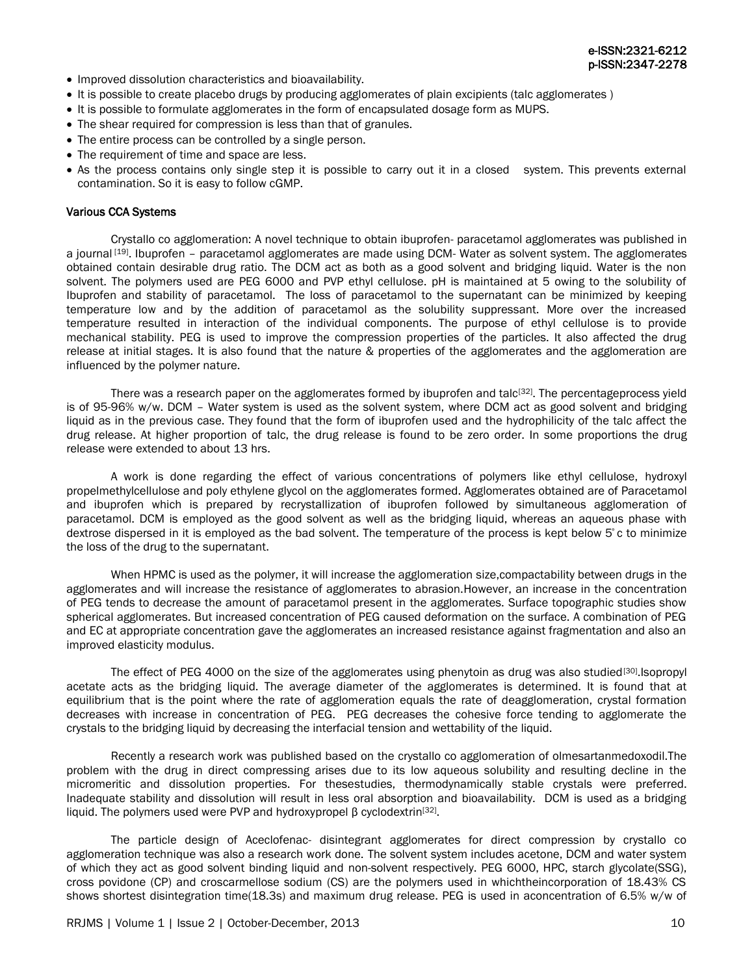- Improved dissolution characteristics and bioavailability.
- It is possible to create placebo drugs by producing agglomerates of plain excipients (talc agglomerates )
- It is possible to formulate agglomerates in the form of encapsulated dosage form as MUPS.
- The shear required for compression is less than that of granules.
- The entire process can be controlled by a single person.
- The requirement of time and space are less.
- As the process contains only single step it is possible to carry out it in a closed system. This prevents external contamination. So it is easy to follow cGMP.

## Various CCA Systems

Crystallo co agglomeration: A novel technique to obtain ibuprofen- paracetamol agglomerates was published in a journal [19]. Ibuprofen - paracetamol agglomerates are made using DCM- Water as solvent system. The agglomerates obtained contain desirable drug ratio. The DCM act as both as a good solvent and bridging liquid. Water is the non solvent. The polymers used are PEG 6000 and PVP ethyl cellulose. pH is maintained at 5 owing to the solubility of Ibuprofen and stability of paracetamol. The loss of paracetamol to the supernatant can be minimized by keeping temperature low and by the addition of paracetamol as the solubility suppressant. More over the increased temperature resulted in interaction of the individual components. The purpose of ethyl cellulose is to provide mechanical stability. PEG is used to improve the compression properties of the particles. It also affected the drug release at initial stages. It is also found that the nature & properties of the agglomerates and the agglomeration are influenced by the polymer nature.

There was a research paper on the agglomerates formed by ibuprofen and talc<sup>[32]</sup>. The percentageprocess yield is of 95-96% w/w. DCM – Water system is used as the solvent system, where DCM act as good solvent and bridging liquid as in the previous case. They found that the form of ibuprofen used and the hydrophilicity of the talc affect the drug release. At higher proportion of talc, the drug release is found to be zero order. In some proportions the drug release were extended to about 13 hrs.

A work is done regarding the effect of various concentrations of polymers like ethyl cellulose, hydroxyl propelmethylcellulose and poly ethylene glycol on the agglomerates formed. Agglomerates obtained are of Paracetamol and ibuprofen which is prepared by recrystallization of ibuprofen followed by simultaneous agglomeration of paracetamol. DCM is employed as the good solvent as well as the bridging liquid, whereas an aqueous phase with dextrose dispersed in it is employed as the bad solvent. The temperature of the process is kept below 5° c to minimize the loss of the drug to the supernatant.

When HPMC is used as the polymer, it will increase the agglomeration size,compactability between drugs in the agglomerates and will increase the resistance of agglomerates to abrasion.However, an increase in the concentration of PEG tends to decrease the amount of paracetamol present in the agglomerates. Surface topographic studies show spherical agglomerates. But increased concentration of PEG caused deformation on the surface. A combination of PEG and EC at appropriate concentration gave the agglomerates an increased resistance against fragmentation and also an improved elasticity modulus.

The effect of PEG 4000 on the size of the agglomerates using phenytoin as drug was also studied<sup>[30]</sup>. Isopropyl acetate acts as the bridging liquid. The average diameter of the agglomerates is determined. It is found that at equilibrium that is the point where the rate of agglomeration equals the rate of deagglomeration, crystal formation decreases with increase in concentration of PEG. PEG decreases the cohesive force tending to agglomerate the crystals to the bridging liquid by decreasing the interfacial tension and wettability of the liquid.

Recently a research work was published based on the crystallo co agglomeration of olmesartanmedoxodil.The problem with the drug in direct compressing arises due to its low aqueous solubility and resulting decline in the micromeritic and dissolution properties. For thesestudies, thermodynamically stable crystals were preferred. Inadequate stability and dissolution will result in less oral absorption and bioavailability. DCM is used as a bridging liquid. The polymers used were PVP and hydroxypropel β cyclodextrin<sup>[32]</sup>.

The particle design of Aceclofenac- disintegrant agglomerates for direct compression by crystallo co agglomeration technique was also a research work done. The solvent system includes acetone, DCM and water system of which they act as good solvent binding liquid and non-solvent respectively. PEG 6000, HPC, starch glycolate(SSG), cross povidone (CP) and croscarmellose sodium (CS) are the polymers used in whichtheincorporation of 18.43% CS shows shortest disintegration time(18.3s) and maximum drug release. PEG is used in aconcentration of 6.5% w/w of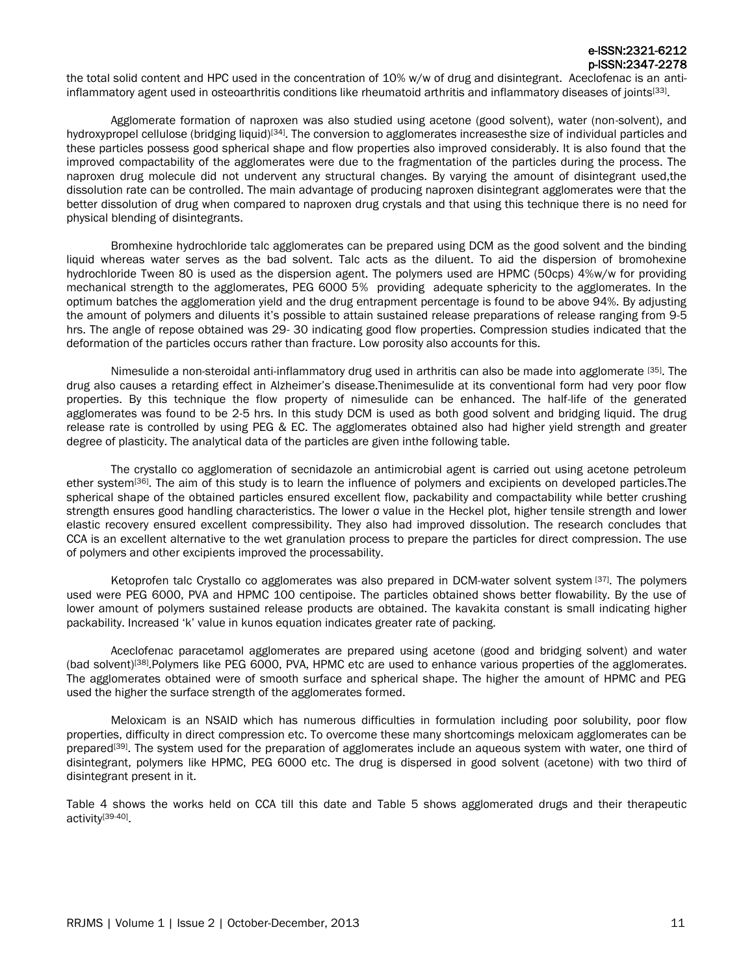the total solid content and HPC used in the concentration of 10% w/w of drug and disintegrant. Aceclofenac is an antiinflammatory agent used in osteoarthritis conditions like rheumatoid arthritis and inflammatory diseases of joints<sup>[33]</sup>.

Agglomerate formation of naproxen was also studied using acetone (good solvent), water (non-solvent), and hydroxypropel cellulose (bridging liquid)<sup>[34]</sup>. The conversion to agglomerates increasesthe size of individual particles and these particles possess good spherical shape and flow properties also improved considerably. It is also found that the improved compactability of the agglomerates were due to the fragmentation of the particles during the process. The naproxen drug molecule did not undervent any structural changes. By varying the amount of disintegrant used,the dissolution rate can be controlled. The main advantage of producing naproxen disintegrant agglomerates were that the better dissolution of drug when compared to naproxen drug crystals and that using this technique there is no need for physical blending of disintegrants.

Bromhexine hydrochloride talc agglomerates can be prepared using DCM as the good solvent and the binding liquid whereas water serves as the bad solvent. Talc acts as the diluent. To aid the dispersion of bromohexine hydrochloride Tween 80 is used as the dispersion agent. The polymers used are HPMC (50cps) 4%w/w for providing mechanical strength to the agglomerates, PEG 6000 5% providing adequate sphericity to the agglomerates. In the optimum batches the agglomeration yield and the drug entrapment percentage is found to be above 94%. By adjusting the amount of polymers and diluents it's possible to attain sustained release preparations of release ranging from 9-5 hrs. The angle of repose obtained was 29- 30 indicating good flow properties. Compression studies indicated that the deformation of the particles occurs rather than fracture. Low porosity also accounts for this.

Nimesulide a non-steroidal anti-inflammatory drug used in arthritis can also be made into agglomerate [35]. The drug also causes a retarding effect in Alzheimer's disease.Thenimesulide at its conventional form had very poor flow properties. By this technique the flow property of nimesulide can be enhanced. The half-life of the generated agglomerates was found to be 2-5 hrs. In this study DCM is used as both good solvent and bridging liquid. The drug release rate is controlled by using PEG & EC. The agglomerates obtained also had higher yield strength and greater degree of plasticity. The analytical data of the particles are given inthe following table.

The crystallo co agglomeration of secnidazole an antimicrobial agent is carried out using acetone petroleum ether system<sup>[36]</sup>. The aim of this study is to learn the influence of polymers and excipients on developed particles.The spherical shape of the obtained particles ensured excellent flow, packability and compactability while better crushing strength ensures good handling characteristics. The lower σ value in the Heckel plot, higher tensile strength and lower elastic recovery ensured excellent compressibility. They also had improved dissolution. The research concludes that CCA is an excellent alternative to the wet granulation process to prepare the particles for direct compression. The use of polymers and other excipients improved the processability.

Ketoprofen talc Crystallo co agglomerates was also prepared in DCM-water solvent system [37]. The polymers used were PEG 6000, PVA and HPMC 100 centipoise. The particles obtained shows better flowability. By the use of lower amount of polymers sustained release products are obtained. The kavakita constant is small indicating higher packability. Increased 'k' value in kunos equation indicates greater rate of packing.

Aceclofenac paracetamol agglomerates are prepared using acetone (good and bridging solvent) and water (bad solvent)<sup>[38]</sup>. Polymers like PEG 6000, PVA, HPMC etc are used to enhance various properties of the agglomerates. The agglomerates obtained were of smooth surface and spherical shape. The higher the amount of HPMC and PEG used the higher the surface strength of the agglomerates formed.

Meloxicam is an NSAID which has numerous difficulties in formulation including poor solubility, poor flow properties, difficulty in direct compression etc. To overcome these many shortcomings meloxicam agglomerates can be prepared<sup>[39]</sup>. The system used for the preparation of agglomerates include an aqueous system with water, one third of disintegrant, polymers like HPMC, PEG 6000 etc. The drug is dispersed in good solvent (acetone) with two third of disintegrant present in it.

Table 4 shows the works held on CCA till this date and Table 5 shows agglomerated drugs and their therapeutic activity[39-40].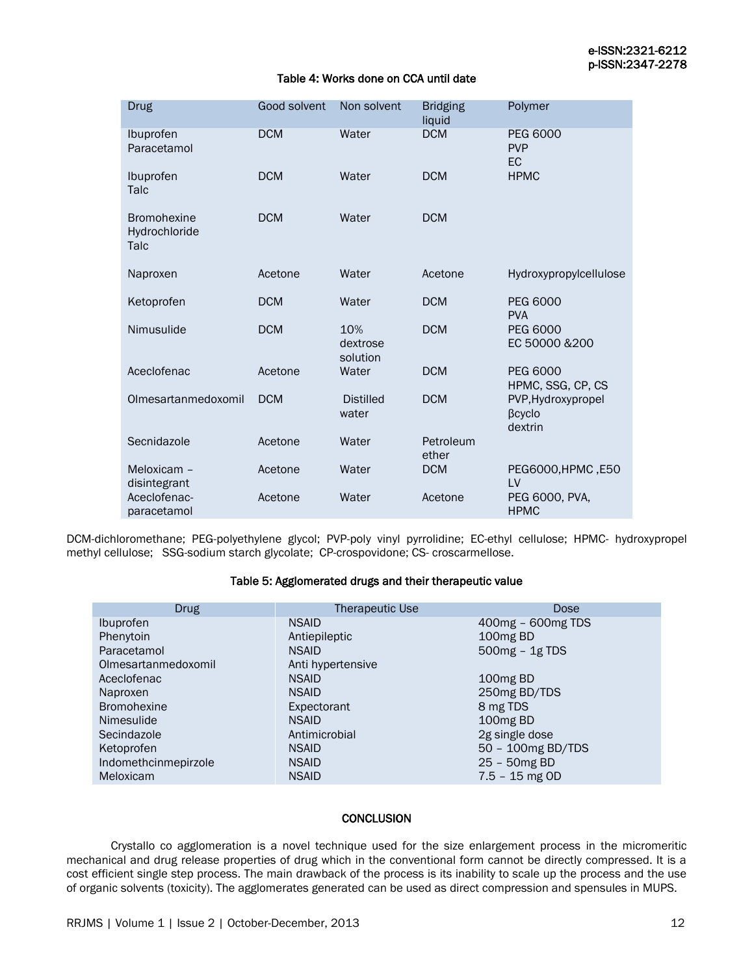## Table 4: Works done on CCA until date

| <b>Drug</b>                                 | Good solvent | Non solvent                 | <b>Bridging</b><br>liquid | Polymer                                 |
|---------------------------------------------|--------------|-----------------------------|---------------------------|-----------------------------------------|
| Ibuprofen<br>Paracetamol                    | <b>DCM</b>   | Water                       | <b>DCM</b>                | <b>PEG 6000</b><br><b>PVP</b><br>EC     |
| Ibuprofen<br>Talc                           | <b>DCM</b>   | Water                       | <b>DCM</b>                | <b>HPMC</b>                             |
| <b>Bromohexine</b><br>Hydrochloride<br>Talc | <b>DCM</b>   | Water                       | <b>DCM</b>                |                                         |
| Naproxen                                    | Acetone      | Water                       | Acetone                   | Hydroxypropylcellulose                  |
| Ketoprofen                                  | <b>DCM</b>   | Water                       | <b>DCM</b>                | <b>PEG 6000</b><br><b>PVA</b>           |
| Nimusulide                                  | <b>DCM</b>   | 10%<br>dextrose<br>solution | <b>DCM</b>                | <b>PEG 6000</b><br>EC 50000 & 200       |
| Aceclofenac                                 | Acetone      | Water                       | <b>DCM</b>                | <b>PEG 6000</b><br>HPMC, SSG, CP, CS    |
| Olmesartanmedoxomil                         | <b>DCM</b>   | <b>Distilled</b><br>water   | <b>DCM</b>                | PVP, Hydroxypropel<br>βcyclo<br>dextrin |
| Secnidazole                                 | Acetone      | Water                       | Petroleum<br>ether        |                                         |
| Meloxicam -<br>disintegrant                 | Acetone      | Water                       | <b>DCM</b>                | PEG6000, HPMC, E50<br>LV                |
| Aceclofenac-<br>paracetamol                 | Acetone      | Water                       | Acetone                   | PEG 6000, PVA,<br><b>HPMC</b>           |

DCM-dichloromethane; PEG-polyethylene glycol; PVP-poly vinyl pyrrolidine; EC-ethyl cellulose; HPMC- hydroxypropel methyl cellulose; SSG-sodium starch glycolate; CP-crospovidone; CS- croscarmellose.

## Table 5: Agglomerated drugs and their therapeutic value

| <b>Drug</b>          | Therapeutic Use   | Dose                 |
|----------------------|-------------------|----------------------|
| <b>Ibuprofen</b>     | <b>NSAID</b>      | 400mg - 600mg TDS    |
| Phenytoin            | Antiepileptic     | 100 <sub>mg</sub> BD |
| Paracetamol          | <b>NSAID</b>      | $500mg - 1g TDS$     |
| Olmesartanmedoxomil  | Anti hypertensive |                      |
| Aceclofenac          | <b>NSAID</b>      | 100 <sub>mg</sub> BD |
| Naproxen             | <b>NSAID</b>      | 250mg BD/TDS         |
| <b>Bromohexine</b>   | Expectorant       | 8 mg TDS             |
| Nimesulide           | <b>NSAID</b>      | 100 <sub>mg</sub> BD |
| Secindazole          | Antimicrobial     | 2g single dose       |
| Ketoprofen           | <b>NSAID</b>      | 50 - 100mg BD/TDS    |
| Indomethcinmepirzole | <b>NSAID</b>      | 25 - 50mg BD         |
| Meloxicam            | <b>NSAID</b>      | $7.5 - 15$ mg OD     |

## **CONCLUSION**

Crystallo co agglomeration is a novel technique used for the size enlargement process in the micromeritic mechanical and drug release properties of drug which in the conventional form cannot be directly compressed. It is a cost efficient single step process. The main drawback of the process is its inability to scale up the process and the use of organic solvents (toxicity). The agglomerates generated can be used as direct compression and spensules in MUPS.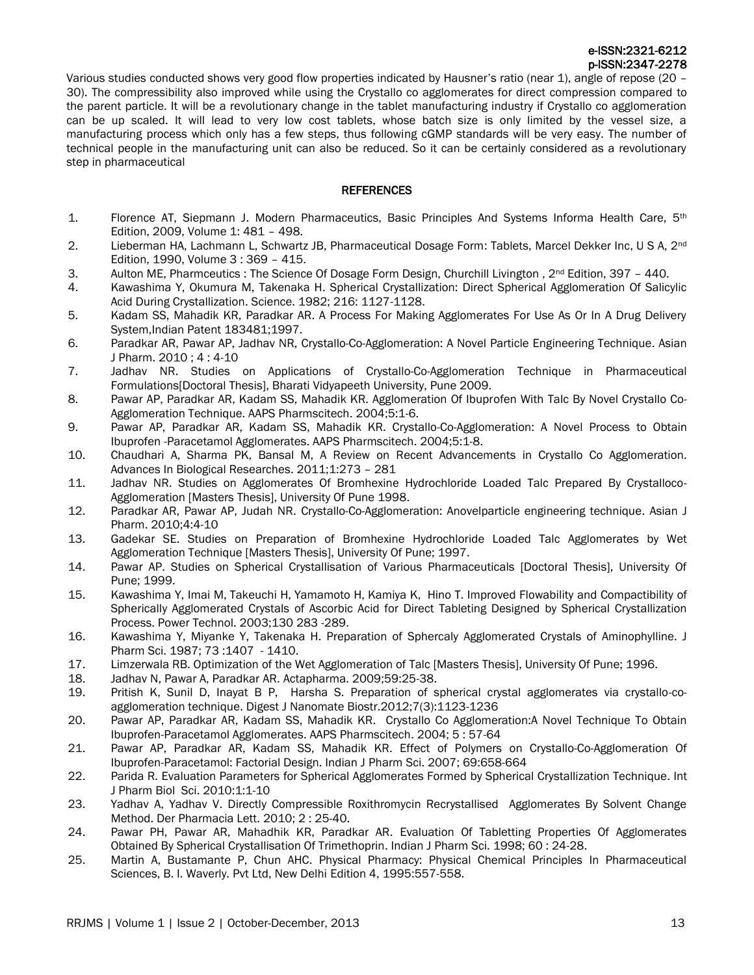Various studies conducted shows very good flow properties indicated by Hausner's ratio (near 1), angle of repose (20 – 30). The compressibility also improved while using the Crystallo co agglomerates for direct compression compared to the parent particle. It will be a revolutionary change in the tablet manufacturing industry if Crystallo co agglomeration can be up scaled. It will lead to very low cost tablets, whose batch size is only limited by the vessel size, a manufacturing process which only has a few steps, thus following cGMP standards will be very easy. The number of technical people in the manufacturing unit can also be reduced. So it can be certainly considered as a revolutionary step in pharmaceutical

## **REFERENCES**

- 1. Florence AT, Siepmann J. Modern Pharmaceutics, Basic Principles And Systems Informa Health Care, 5<sup>th</sup> Edition, 2009, Volume 1: 481 – 498.
- 2. Lieberman HA, Lachmann L, Schwartz JB, Pharmaceutical Dosage Form: Tablets, Marcel Dekker Inc, U S A, 2<sup>nd</sup> Edition, 1990, Volume 3 : 369 – 415.
- 3. Aulton ME, Pharmceutics : The Science Of Dosage Form Design, Churchill Livington , 2nd Edition, 397 440.
- 4. Kawashima Y, Okumura M, Takenaka H. Spherical Crystallization: Direct Spherical Agglomeration Of Salicylic Acid During Crystallization. Science. 1982; 216: 1127-1128.
- 5. Kadam SS, Mahadik KR, Paradkar AR. A Process For Making Agglomerates For Use As Or In A Drug Delivery System,Indian Patent 183481;1997.
- 6. Paradkar AR, Pawar AP, Jadhav NR, Crystallo-Co-Agglomeration: A Novel Particle Engineering Technique. Asian J Pharm. 2010 ; 4 : 4-10
- 7. Jadhav NR. Studies on Applications of Crystallo-Co-Agglomeration Technique in Pharmaceutical Formulations[Doctoral Thesis], Bharati Vidyapeeth University, Pune 2009.
- 8. Pawar AP, Paradkar AR, Kadam SS, Mahadik KR. Agglomeration Of Ibuprofen With Talc By Novel Crystallo Co-Agglomeration Technique. AAPS Pharmscitech. 2004;5:1-6.
- 9. Pawar AP, Paradkar AR, Kadam SS, Mahadik KR. Crystallo-Co-Agglomeration: A Novel Process to Obtain Ibuprofen -Paracetamol Agglomerates. AAPS Pharmscitech. 2004;5:1-8.
- 10. Chaudhari A, Sharma PK, Bansal M, A Review on Recent Advancements in Crystallo Co Agglomeration. Advances In Biological Researches. 2011;1:273 – 281
- 11. Jadhav NR. Studies on Agglomerates Of Bromhexine Hydrochloride Loaded Talc Prepared By Crystalloco-Agglomeration [Masters Thesis], University Of Pune 1998.
- 12. Paradkar AR, Pawar AP, Judah NR. Crystallo-Co-Agglomeration: Anovelparticle engineering technique. Asian J Pharm. 2010;4:4-10
- 13. Gadekar SE. Studies on Preparation of Bromhexine Hydrochloride Loaded Talc Agglomerates by Wet Agglomeration Technique [Masters Thesis], University Of Pune; 1997.
- 14. Pawar AP. Studies on Spherical Crystallisation of Various Pharmaceuticals [Doctoral Thesis], University Of Pune; 1999.
- 15. Kawashima Y, Imai M, Takeuchi H, Yamamoto H, Kamiya K, Hino T. Improved Flowability and Compactibility of Spherically Agglomerated Crystals of Ascorbic Acid for Direct Tableting Designed by Spherical Crystallization Process. Power Technol. 2003;130 283 -289.
- 16. [Kawashima](http://www.sciencedirect.com/science/article/pii/S0032591002002061) Y, Miyanke Y, Takenaka H. Preparation of Sphercaly Agglomerated Crystals of Aminophylline. J Pharm Sci. 1987; 73 :1407 - 1410.
- 17. Limzerwala RB. Optimization of the Wet Agglomeration of Talc [Masters Thesis], University Of Pune; 1996.
- 18. Jadhav N, Pawar A, Paradkar AR. Actapharma. 2009;59:25-38.
- 19. Pritish K, Sunil D, Inayat B P, Harsha S. Preparation of spherical crystal agglomerates via crystallo-coagglomeration technique. Digest J Nanomate Biostr.2012;7(3):1123-1236
- 20. Pawar AP, Paradkar AR, Kadam SS, Mahadik KR. Crystallo Co Agglomeration:A Novel Technique To Obtain Ibuprofen-Paracetamol Agglomerates. AAPS Pharmscitech. 2004; 5 : 57-64
- 21. Pawar AP, Paradkar AR, Kadam SS, Mahadik KR. Effect of Polymers on Crystallo-Co-Agglomeration Of Ibuprofen-Paracetamol: Factorial Design. Indian J Pharm Sci. 2007; 69:658-664
- 22. Parida R. Evaluation Parameters for Spherical Agglomerates Formed by Spherical Crystallization Technique. Int J Pharm Biol Sci. 2010:1:1-10
- 23. Yadhav A, Yadhav V. Directly Compressible Roxithromycin Recrystallised Agglomerates By Solvent Change Method. Der Pharmacia Lett. 2010; 2 : 25-40.
- 24. Pawar PH, Pawar AR, Mahadhik KR, Paradkar AR. Evaluation Of Tabletting Properties Of Agglomerates Obtained By Spherical Crystallisation Of Trimethoprin. Indian J Pharm Sci. 1998; 60 : 24-28.
- 25. Martin A, Bustamante P, Chun AHC. Physical Pharmacy: Physical Chemical Principles In Pharmaceutical Sciences, B. I. Waverly. Pvt Ltd, New Delhi Edition 4, 1995:557-558.